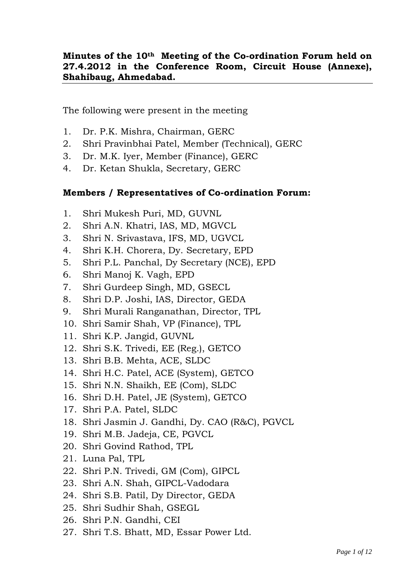# **Minutes of the 10th Meeting of the Co-ordination Forum held on 27.4.2012 in the Conference Room, Circuit House (Annexe), Shahibaug, Ahmedabad.**

The following were present in the meeting

- 1. Dr. P.K. Mishra, Chairman, GERC
- 2. Shri Pravinbhai Patel, Member (Technical), GERC
- 3. Dr. M.K. Iyer, Member (Finance), GERC
- 4. Dr. Ketan Shukla, Secretary, GERC

#### **Members / Representatives of Co-ordination Forum:**

- 1. Shri Mukesh Puri, MD, GUVNL
- 2. Shri A.N. Khatri, IAS, MD, MGVCL
- 3. Shri N. Srivastava, IFS, MD, UGVCL
- 4. Shri K.H. Chorera, Dy. Secretary, EPD
- 5. Shri P.L. Panchal, Dy Secretary (NCE), EPD
- 6. Shri Manoj K. Vagh, EPD
- 7. Shri Gurdeep Singh, MD, GSECL
- 8. Shri D.P. Joshi, IAS, Director, GEDA
- 9. Shri Murali Ranganathan, Director, TPL
- 10. Shri Samir Shah, VP (Finance), TPL
- 11. Shri K.P. Jangid, GUVNL
- 12. Shri S.K. Trivedi, EE (Reg.), GETCO
- 13. Shri B.B. Mehta, ACE, SLDC
- 14. Shri H.C. Patel, ACE (System), GETCO
- 15. Shri N.N. Shaikh, EE (Com), SLDC
- 16. Shri D.H. Patel, JE (System), GETCO
- 17. Shri P.A. Patel, SLDC
- 18. Shri Jasmin J. Gandhi, Dy. CAO (R&C), PGVCL
- 19. Shri M.B. Jadeja, CE, PGVCL
- 20. Shri Govind Rathod, TPL
- 21. Luna Pal, TPL
- 22. Shri P.N. Trivedi, GM (Com), GIPCL
- 23. Shri A.N. Shah, GIPCL-Vadodara
- 24. Shri S.B. Patil, Dy Director, GEDA
- 25. Shri Sudhir Shah, GSEGL
- 26. Shri P.N. Gandhi, CEI
- 27. Shri T.S. Bhatt, MD, Essar Power Ltd.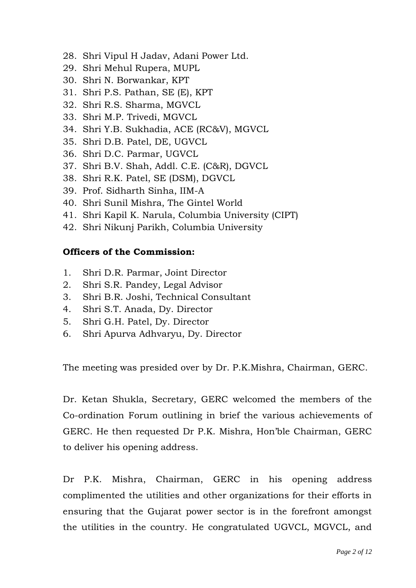- 28. Shri Vipul H Jadav, Adani Power Ltd.
- 29. Shri Mehul Rupera, MUPL
- 30. Shri N. Borwankar, KPT
- 31. Shri P.S. Pathan, SE (E), KPT
- 32. Shri R.S. Sharma, MGVCL
- 33. Shri M.P. Trivedi, MGVCL
- 34. Shri Y.B. Sukhadia, ACE (RC&V), MGVCL
- 35. Shri D.B. Patel, DE, UGVCL
- 36. Shri D.C. Parmar, UGVCL
- 37. Shri B.V. Shah, Addl. C.E. (C&R), DGVCL
- 38. Shri R.K. Patel, SE (DSM), DGVCL
- 39. Prof. Sidharth Sinha, IIM-A
- 40. Shri Sunil Mishra, The Gintel World
- 41. Shri Kapil K. Narula, Columbia University (CIPT)
- 42. Shri Nikunj Parikh, Columbia University

#### **Officers of the Commission:**

- 1. Shri D.R. Parmar, Joint Director
- 2. Shri S.R. Pandey, Legal Advisor
- 3. Shri B.R. Joshi, Technical Consultant
- 4. Shri S.T. Anada, Dy. Director
- 5. Shri G.H. Patel, Dy. Director
- 6. Shri Apurva Adhvaryu, Dy. Director

The meeting was presided over by Dr. P.K.Mishra, Chairman, GERC.

Dr. Ketan Shukla, Secretary, GERC welcomed the members of the Co-ordination Forum outlining in brief the various achievements of GERC. He then requested Dr P.K. Mishra, Hon"ble Chairman, GERC to deliver his opening address.

Dr P.K. Mishra, Chairman, GERC in his opening address complimented the utilities and other organizations for their efforts in ensuring that the Gujarat power sector is in the forefront amongst the utilities in the country. He congratulated UGVCL, MGVCL, and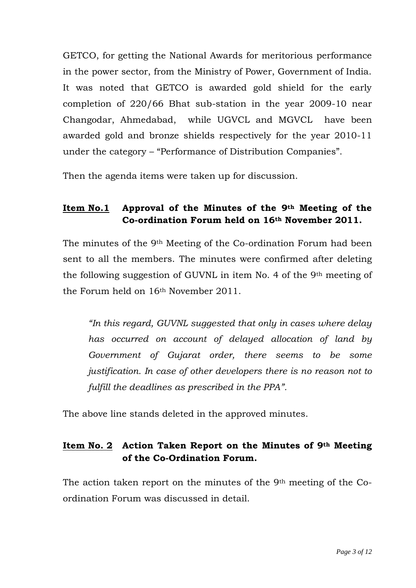GETCO, for getting the National Awards for meritorious performance in the power sector, from the Ministry of Power, Government of India. It was noted that GETCO is awarded gold shield for the early completion of 220/66 Bhat sub-station in the year 2009-10 near Changodar, Ahmedabad, while UGVCL and MGVCL have been awarded gold and bronze shields respectively for the year 2010-11 under the category – "Performance of Distribution Companies".

Then the agenda items were taken up for discussion.

# **Item No.1 Approval of the Minutes of the 9th Meeting of the Co-ordination Forum held on 16th November 2011.**

The minutes of the 9th Meeting of the Co-ordination Forum had been sent to all the members. The minutes were confirmed after deleting the following suggestion of GUVNL in item No. 4 of the 9th meeting of the Forum held on 16th November 2011.

*"In this regard, GUVNL suggested that only in cases where delay has occurred on account of delayed allocation of land by Government of Gujarat order, there seems to be some justification. In case of other developers there is no reason not to fulfill the deadlines as prescribed in the PPA".* 

The above line stands deleted in the approved minutes.

# **Item No. 2 Action Taken Report on the Minutes of 9th Meeting of the Co-Ordination Forum.**

The action taken report on the minutes of the 9<sup>th</sup> meeting of the Coordination Forum was discussed in detail.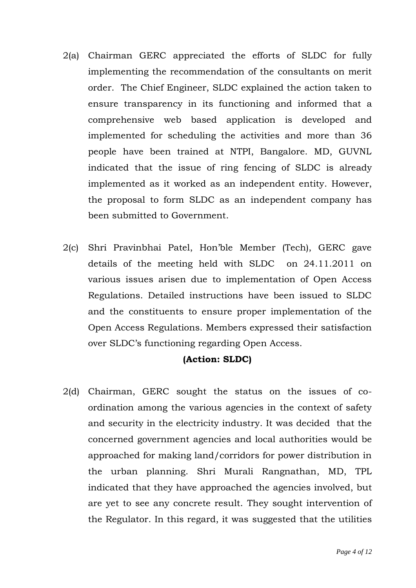- 2(a) Chairman GERC appreciated the efforts of SLDC for fully implementing the recommendation of the consultants on merit order. The Chief Engineer, SLDC explained the action taken to ensure transparency in its functioning and informed that a comprehensive web based application is developed and implemented for scheduling the activities and more than 36 people have been trained at NTPI, Bangalore. MD, GUVNL indicated that the issue of ring fencing of SLDC is already implemented as it worked as an independent entity. However, the proposal to form SLDC as an independent company has been submitted to Government.
- 2(c) Shri Pravinbhai Patel, Hon"ble Member (Tech), GERC gave details of the meeting held with SLDC on 24.11.2011 on various issues arisen due to implementation of Open Access Regulations. Detailed instructions have been issued to SLDC and the constituents to ensure proper implementation of the Open Access Regulations. Members expressed their satisfaction over SLDC"s functioning regarding Open Access.

#### **(Action: SLDC)**

2(d) Chairman, GERC sought the status on the issues of coordination among the various agencies in the context of safety and security in the electricity industry. It was decided that the concerned government agencies and local authorities would be approached for making land/corridors for power distribution in the urban planning. Shri Murali Rangnathan, MD, TPL indicated that they have approached the agencies involved, but are yet to see any concrete result. They sought intervention of the Regulator. In this regard, it was suggested that the utilities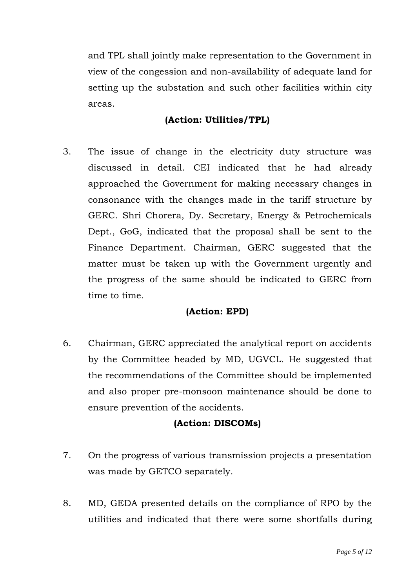and TPL shall jointly make representation to the Government in view of the congession and non-availability of adequate land for setting up the substation and such other facilities within city areas.

# **(Action: Utilities/TPL)**

3. The issue of change in the electricity duty structure was discussed in detail. CEI indicated that he had already approached the Government for making necessary changes in consonance with the changes made in the tariff structure by GERC. Shri Chorera, Dy. Secretary, Energy & Petrochemicals Dept., GoG, indicated that the proposal shall be sent to the Finance Department. Chairman, GERC suggested that the matter must be taken up with the Government urgently and the progress of the same should be indicated to GERC from time to time.

# **(Action: EPD)**

6. Chairman, GERC appreciated the analytical report on accidents by the Committee headed by MD, UGVCL. He suggested that the recommendations of the Committee should be implemented and also proper pre-monsoon maintenance should be done to ensure prevention of the accidents.

#### **(Action: DISCOMs)**

- 7. On the progress of various transmission projects a presentation was made by GETCO separately.
- 8. MD, GEDA presented details on the compliance of RPO by the utilities and indicated that there were some shortfalls during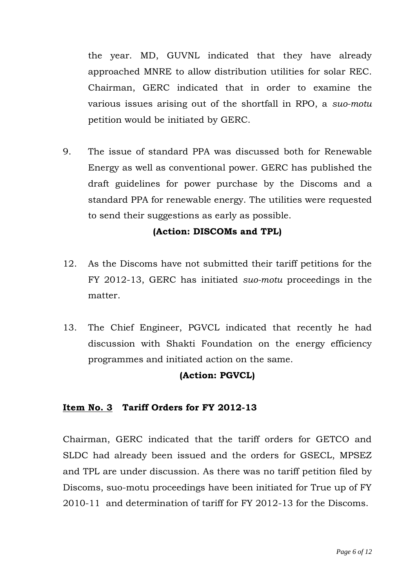the year. MD, GUVNL indicated that they have already approached MNRE to allow distribution utilities for solar REC. Chairman, GERC indicated that in order to examine the various issues arising out of the shortfall in RPO, a *suo-motu* petition would be initiated by GERC.

9. The issue of standard PPA was discussed both for Renewable Energy as well as conventional power. GERC has published the draft guidelines for power purchase by the Discoms and a standard PPA for renewable energy. The utilities were requested to send their suggestions as early as possible.

# **(Action: DISCOMs and TPL)**

- 12. As the Discoms have not submitted their tariff petitions for the FY 2012-13, GERC has initiated *suo-motu* proceedings in the matter.
- 13. The Chief Engineer, PGVCL indicated that recently he had discussion with Shakti Foundation on the energy efficiency programmes and initiated action on the same.

#### **(Action: PGVCL)**

# **Item No. 3 Tariff Orders for FY 2012-13**

Chairman, GERC indicated that the tariff orders for GETCO and SLDC had already been issued and the orders for GSECL, MPSEZ and TPL are under discussion. As there was no tariff petition filed by Discoms, suo-motu proceedings have been initiated for True up of FY 2010-11 and determination of tariff for FY 2012-13 for the Discoms.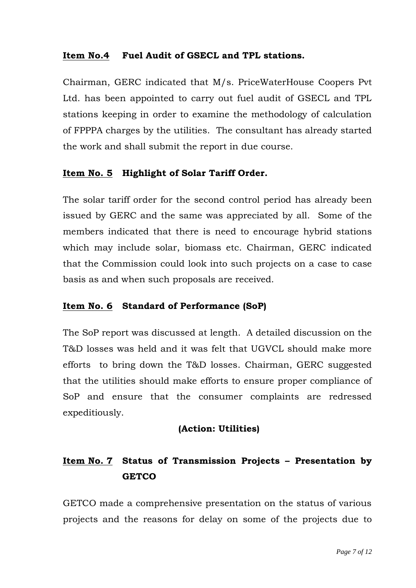# **Item No.4 Fuel Audit of GSECL and TPL stations.**

Chairman, GERC indicated that M/s. PriceWaterHouse Coopers Pvt Ltd. has been appointed to carry out fuel audit of GSECL and TPL stations keeping in order to examine the methodology of calculation of FPPPA charges by the utilities. The consultant has already started the work and shall submit the report in due course.

# **Item No. 5 Highlight of Solar Tariff Order.**

The solar tariff order for the second control period has already been issued by GERC and the same was appreciated by all. Some of the members indicated that there is need to encourage hybrid stations which may include solar, biomass etc. Chairman, GERC indicated that the Commission could look into such projects on a case to case basis as and when such proposals are received.

#### **Item No. 6 Standard of Performance (SoP)**

The SoP report was discussed at length. A detailed discussion on the T&D losses was held and it was felt that UGVCL should make more efforts to bring down the T&D losses. Chairman, GERC suggested that the utilities should make efforts to ensure proper compliance of SoP and ensure that the consumer complaints are redressed expeditiously.

#### **(Action: Utilities)**

# **Item No. 7 Status of Transmission Projects – Presentation by GETCO**

GETCO made a comprehensive presentation on the status of various projects and the reasons for delay on some of the projects due to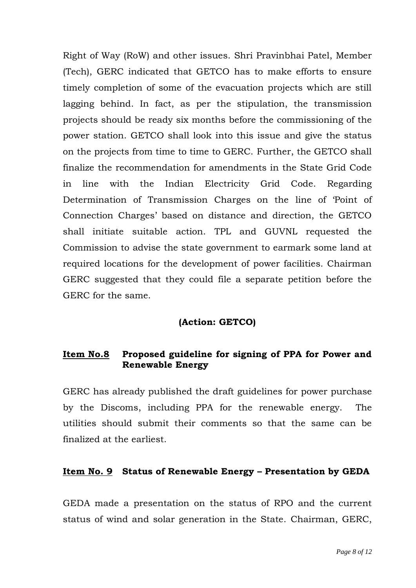Right of Way (RoW) and other issues. Shri Pravinbhai Patel, Member (Tech), GERC indicated that GETCO has to make efforts to ensure timely completion of some of the evacuation projects which are still lagging behind. In fact, as per the stipulation, the transmission projects should be ready six months before the commissioning of the power station. GETCO shall look into this issue and give the status on the projects from time to time to GERC. Further, the GETCO shall finalize the recommendation for amendments in the State Grid Code in line with the Indian Electricity Grid Code. Regarding Determination of Transmission Charges on the line of "Point of Connection Charges" based on distance and direction, the GETCO shall initiate suitable action. TPL and GUVNL requested the Commission to advise the state government to earmark some land at required locations for the development of power facilities. Chairman GERC suggested that they could file a separate petition before the GERC for the same.

#### **(Action: GETCO)**

# **Item No.8 Proposed guideline for signing of PPA for Power and Renewable Energy**

GERC has already published the draft guidelines for power purchase by the Discoms, including PPA for the renewable energy. The utilities should submit their comments so that the same can be finalized at the earliest.

#### **Item No. 9 Status of Renewable Energy – Presentation by GEDA**

GEDA made a presentation on the status of RPO and the current status of wind and solar generation in the State. Chairman, GERC,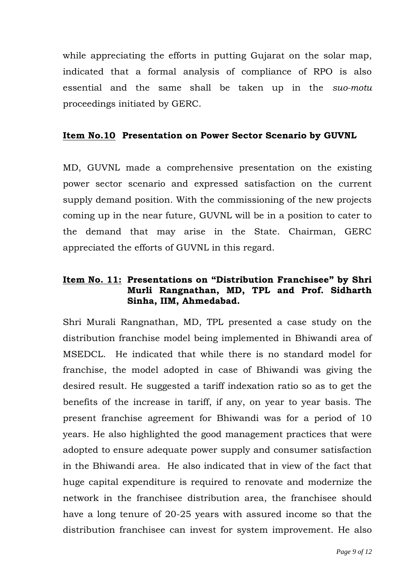while appreciating the efforts in putting Gujarat on the solar map, indicated that a formal analysis of compliance of RPO is also essential and the same shall be taken up in the *suo-motu* proceedings initiated by GERC.

#### **Item No.10 Presentation on Power Sector Scenario by GUVNL**

MD, GUVNL made a comprehensive presentation on the existing power sector scenario and expressed satisfaction on the current supply demand position. With the commissioning of the new projects coming up in the near future, GUVNL will be in a position to cater to the demand that may arise in the State. Chairman, GERC appreciated the efforts of GUVNL in this regard.

# **Item No. 11: Presentations on "Distribution Franchisee" by Shri Murli Rangnathan, MD, TPL and Prof. Sidharth Sinha, IIM, Ahmedabad.**

Shri Murali Rangnathan, MD, TPL presented a case study on the distribution franchise model being implemented in Bhiwandi area of MSEDCL. He indicated that while there is no standard model for franchise, the model adopted in case of Bhiwandi was giving the desired result. He suggested a tariff indexation ratio so as to get the benefits of the increase in tariff, if any, on year to year basis. The present franchise agreement for Bhiwandi was for a period of 10 years. He also highlighted the good management practices that were adopted to ensure adequate power supply and consumer satisfaction in the Bhiwandi area. He also indicated that in view of the fact that huge capital expenditure is required to renovate and modernize the network in the franchisee distribution area, the franchisee should have a long tenure of 20-25 years with assured income so that the distribution franchisee can invest for system improvement. He also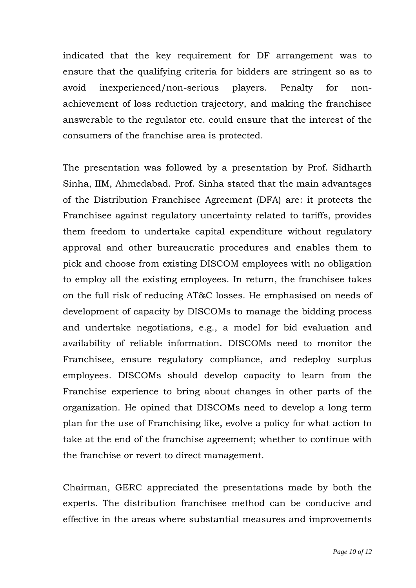indicated that the key requirement for DF arrangement was to ensure that the qualifying criteria for bidders are stringent so as to avoid inexperienced/non-serious players. Penalty for nonachievement of loss reduction trajectory, and making the franchisee answerable to the regulator etc. could ensure that the interest of the consumers of the franchise area is protected.

The presentation was followed by a presentation by Prof. Sidharth Sinha, IIM, Ahmedabad. Prof. Sinha stated that the main advantages of the Distribution Franchisee Agreement (DFA) are: it protects the Franchisee against regulatory uncertainty related to tariffs, provides them freedom to undertake capital expenditure without regulatory approval and other bureaucratic procedures and enables them to pick and choose from existing DISCOM employees with no obligation to employ all the existing employees. In return, the franchisee takes on the full risk of reducing AT&C losses. He emphasised on needs of development of capacity by DISCOMs to manage the bidding process and undertake negotiations, e.g., a model for bid evaluation and availability of reliable information. DISCOMs need to monitor the Franchisee, ensure regulatory compliance, and redeploy surplus employees. DISCOMs should develop capacity to learn from the Franchise experience to bring about changes in other parts of the organization. He opined that DISCOMs need to develop a long term plan for the use of Franchising like, evolve a policy for what action to take at the end of the franchise agreement; whether to continue with the franchise or revert to direct management.

Chairman, GERC appreciated the presentations made by both the experts. The distribution franchisee method can be conducive and effective in the areas where substantial measures and improvements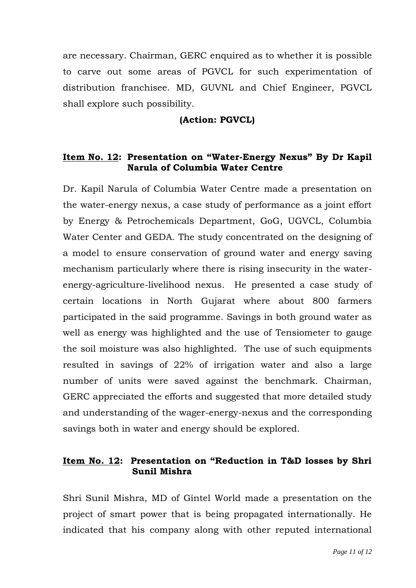are necessary. Chairman, GERC enquired as to whether it is possible to carve out some areas of PGVCL for such experimentation of distribution franchisee. MD, GUVNL and Chief Engineer, PGVCL shall explore such possibility.

# **(Action: PGVCL)**

# **Item No. 12: Presentation on "Water-Energy Nexus" By Dr Kapil Narula of Columbia Water Centre**

Dr. Kapil Narula of Columbia Water Centre made a presentation on the water-energy nexus, a case study of performance as a joint effort by Energy & Petrochemicals Department, GoG, UGVCL, Columbia Water Center and GEDA. The study concentrated on the designing of a model to ensure conservation of ground water and energy saving mechanism particularly where there is rising insecurity in the waterenergy-agriculture-livelihood nexus. He presented a case study of certain locations in North Gujarat where about 800 farmers participated in the said programme. Savings in both ground water as well as energy was highlighted and the use of Tensiometer to gauge the soil moisture was also highlighted. The use of such equipments resulted in savings of 22% of irrigation water and also a large number of units were saved against the benchmark. Chairman, GERC appreciated the efforts and suggested that more detailed study and understanding of the wager-energy-nexus and the corresponding savings both in water and energy should be explored.

#### **Item No. 12: Presentation on "Reduction in T&D losses by Shri Sunil Mishra**

Shri Sunil Mishra, MD of Gintel World made a presentation on the project of smart power that is being propagated internationally. He indicated that his company along with other reputed international